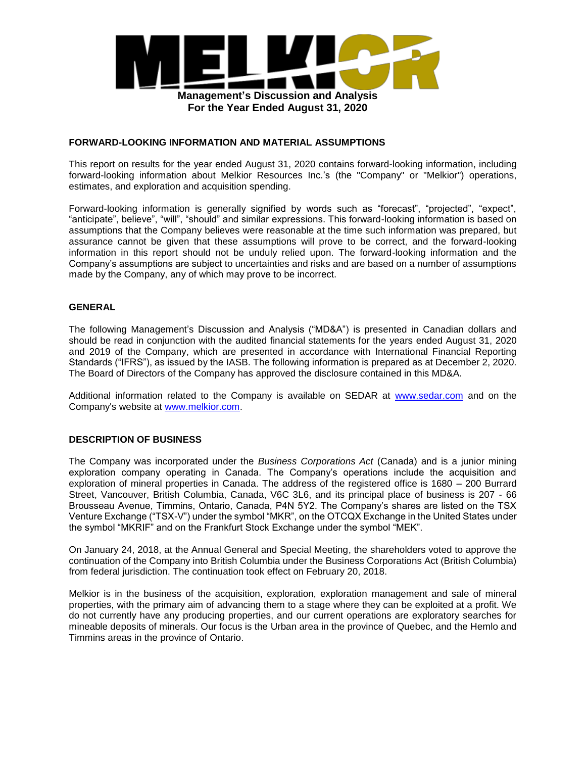

### **FORWARD-LOOKING INFORMATION AND MATERIAL ASSUMPTIONS**

This report on results for the year ended August 31, 2020 contains forward-looking information, including forward-looking information about Melkior Resources Inc.'s (the "Company" or "Melkior") operations, estimates, and exploration and acquisition spending.

Forward-looking information is generally signified by words such as "forecast", "projected", "expect", "anticipate", believe", "will", "should" and similar expressions. This forward-looking information is based on assumptions that the Company believes were reasonable at the time such information was prepared, but assurance cannot be given that these assumptions will prove to be correct, and the forward-looking information in this report should not be unduly relied upon. The forward-looking information and the Company's assumptions are subject to uncertainties and risks and are based on a number of assumptions made by the Company, any of which may prove to be incorrect.

## **GENERAL**

The following Management's Discussion and Analysis ("MD&A") is presented in Canadian dollars and should be read in conjunction with the audited financial statements for the years ended August 31, 2020 and 2019 of the Company, which are presented in accordance with International Financial Reporting Standards ("IFRS"), as issued by the IASB. The following information is prepared as at December 2, 2020. The Board of Directors of the Company has approved the disclosure contained in this MD&A.

Additional information related to the Company is available on SEDAR at www.sedar.com and on the Company's website at www.melkior.com.

### **DESCRIPTION OF BUSINESS**

The Company was incorporated under the *Business Corporations Act* (Canada) and is a junior mining exploration company operating in Canada. The Company's operations include the acquisition and exploration of mineral properties in Canada. The address of the registered office is 1680 – 200 Burrard Street, Vancouver, British Columbia, Canada, V6C 3L6, and its principal place of business is 207 - 66 Brousseau Avenue, Timmins, Ontario, Canada, P4N 5Y2. The Company's shares are listed on the TSX Venture Exchange ("TSX-V") under the symbol "MKR", on the OTCQX Exchange in the United States under the symbol "MKRIF" and on the Frankfurt Stock Exchange under the symbol "MEK".

On January 24, 2018, at the Annual General and Special Meeting, the shareholders voted to approve the continuation of the Company into British Columbia under the Business Corporations Act (British Columbia) from federal jurisdiction. The continuation took effect on February 20, 2018.

Melkior is in the business of the acquisition, exploration, exploration management and sale of mineral properties, with the primary aim of advancing them to a stage where they can be exploited at a profit. We do not currently have any producing properties, and our current operations are exploratory searches for mineable deposits of minerals. Our focus is the Urban area in the province of Quebec, and the Hemlo and Timmins areas in the province of Ontario.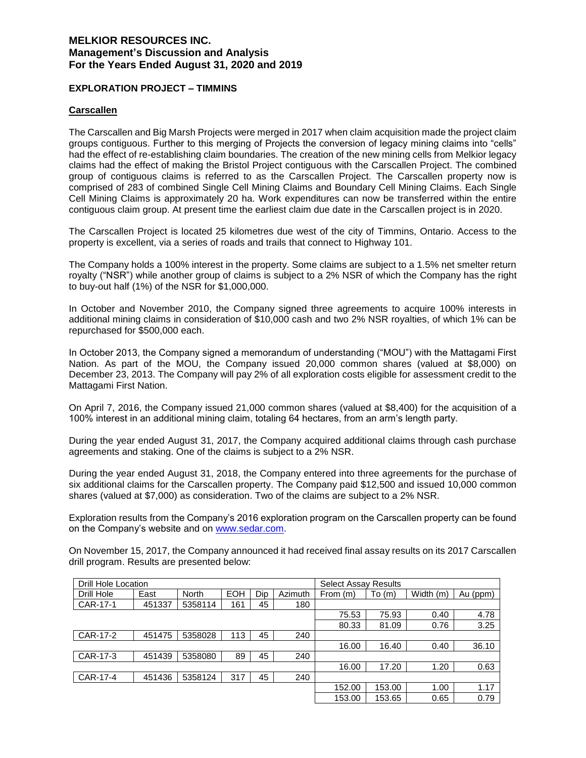### **EXPLORATION PROJECT – TIMMINS**

### **Carscallen**

The Carscallen and Big Marsh Projects were merged in 2017 when claim acquisition made the project claim groups contiguous. Further to this merging of Projects the conversion of legacy mining claims into "cells" had the effect of re-establishing claim boundaries. The creation of the new mining cells from Melkior legacy claims had the effect of making the Bristol Project contiguous with the Carscallen Project. The combined group of contiguous claims is referred to as the Carscallen Project. The Carscallen property now is comprised of 283 of combined Single Cell Mining Claims and Boundary Cell Mining Claims. Each Single Cell Mining Claims is approximately 20 ha. Work expenditures can now be transferred within the entire contiguous claim group. At present time the earliest claim due date in the Carscallen project is in 2020.

The Carscallen Project is located 25 kilometres due west of the city of Timmins, Ontario. Access to the property is excellent, via a series of roads and trails that connect to Highway 101.

The Company holds a 100% interest in the property. Some claims are subject to a 1.5% net smelter return royalty ("NSR") while another group of claims is subject to a 2% NSR of which the Company has the right to buy-out half (1%) of the NSR for \$1,000,000.

In October and November 2010, the Company signed three agreements to acquire 100% interests in additional mining claims in consideration of \$10,000 cash and two 2% NSR royalties, of which 1% can be repurchased for \$500,000 each.

In October 2013, the Company signed a memorandum of understanding ("MOU") with the Mattagami First Nation. As part of the MOU, the Company issued 20,000 common shares (valued at \$8,000) on December 23, 2013. The Company will pay 2% of all exploration costs eligible for assessment credit to the Mattagami First Nation.

On April 7, 2016, the Company issued 21,000 common shares (valued at \$8,400) for the acquisition of a 100% interest in an additional mining claim, totaling 64 hectares, from an arm's length party.

During the year ended August 31, 2017, the Company acquired additional claims through cash purchase agreements and staking. One of the claims is subject to a 2% NSR.

During the year ended August 31, 2018, the Company entered into three agreements for the purchase of six additional claims for the Carscallen property. The Company paid \$12,500 and issued 10,000 common shares (valued at \$7,000) as consideration. Two of the claims are subject to a 2% NSR.

Exploration results from the Company's 2016 exploration program on the Carscallen property can be found on the Company's website and on www.sedar.com.

On November 15, 2017, the Company announced it had received final assay results on its 2017 Carscallen drill program. Results are presented below:

| <b>Drill Hole Location</b> |        |              |            |       |         | <b>Select Assay Results</b> |        |           |          |
|----------------------------|--------|--------------|------------|-------|---------|-----------------------------|--------|-----------|----------|
| Drill Hole                 | East   | <b>North</b> | <b>EOH</b> | Dip   | Azimuth | From (m)                    | To(m)  | Width (m) | Au (ppm) |
| CAR-17-1                   | 451337 | 5358114      | 161        | 45    | 180     |                             |        |           |          |
|                            |        |              | 75.53      | 75.93 | 0.40    | 4.78                        |        |           |          |
|                            |        |              |            |       |         | 80.33                       | 81.09  | 0.76      | 3.25     |
| CAR-17-2                   | 451475 | 5358028      | 113        | 45    | 240     |                             |        |           |          |
|                            |        |              |            |       |         | 16.00                       | 16.40  | 0.40      | 36.10    |
| CAR-17-3                   | 451439 | 5358080      | 89         | 45    | 240     |                             |        |           |          |
|                            |        |              |            |       |         | 16.00                       | 17.20  | 1.20      | 0.63     |
| CAR-17-4                   | 451436 | 5358124      | 317        | 45    | 240     |                             |        |           |          |
|                            |        |              |            |       |         | 152.00                      | 153.00 | 1.00      | 1.17     |
|                            |        |              |            |       |         | 153.00                      | 153.65 | 0.65      | 0.79     |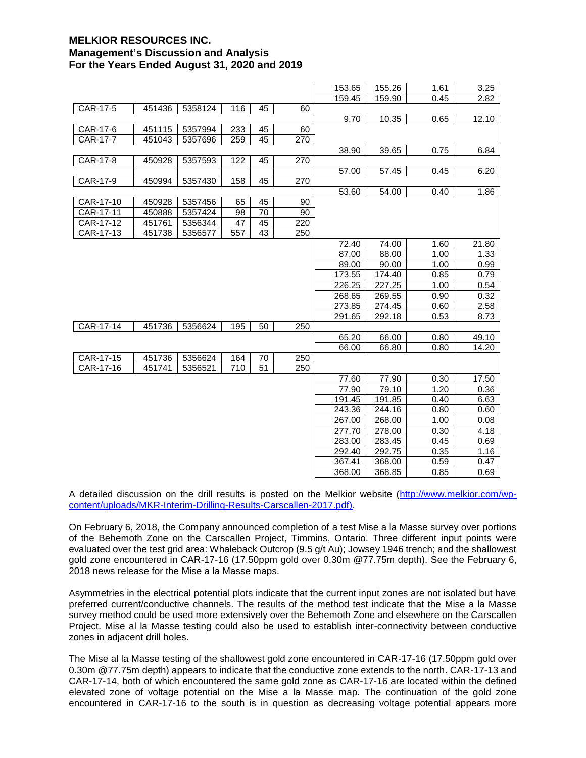|           |        |         |     |    |     | 153.65 | 155.26 | 1.61 | 3.25  |
|-----------|--------|---------|-----|----|-----|--------|--------|------|-------|
|           |        |         |     |    |     | 159.45 | 159.90 | 0.45 | 2.82  |
| CAR-17-5  | 451436 | 5358124 | 116 | 45 | 60  |        |        |      |       |
|           |        |         |     |    |     | 9.70   | 10.35  | 0.65 | 12.10 |
| CAR-17-6  | 451115 | 5357994 | 233 | 45 | 60  |        |        |      |       |
| CAR-17-7  | 451043 | 5357696 | 259 | 45 | 270 |        |        |      |       |
|           |        |         |     |    |     | 38.90  | 39.65  | 0.75 | 6.84  |
| CAR-17-8  | 450928 | 5357593 | 122 | 45 | 270 |        |        |      |       |
|           |        |         |     |    |     | 57.00  | 57.45  | 0.45 | 6.20  |
| CAR-17-9  | 450994 | 5357430 | 158 | 45 | 270 |        |        |      |       |
|           |        |         |     |    |     | 53.60  | 54.00  | 0.40 | 1.86  |
| CAR-17-10 | 450928 | 5357456 | 65  | 45 | 90  |        |        |      |       |
| CAR-17-11 | 450888 | 5357424 | 98  | 70 | 90  |        |        |      |       |
| CAR-17-12 | 451761 | 5356344 | 47  | 45 | 220 |        |        |      |       |
| CAR-17-13 | 451738 | 5356577 | 557 | 43 | 250 |        |        |      |       |
|           |        |         |     |    |     | 72.40  | 74.00  | 1.60 | 21.80 |
|           |        |         |     |    |     | 87.00  | 88.00  | 1.00 | 1.33  |
|           |        |         |     |    |     | 89.00  | 90.00  | 1.00 | 0.99  |
|           |        |         |     |    |     | 173.55 | 174.40 | 0.85 | 0.79  |
|           |        |         |     |    |     | 226.25 | 227.25 | 1.00 | 0.54  |
|           |        |         |     |    |     | 268.65 | 269.55 | 0.90 | 0.32  |
|           |        |         |     |    |     | 273.85 | 274.45 | 0.60 | 2.58  |
|           |        |         |     |    |     | 291.65 | 292.18 | 0.53 | 8.73  |
| CAR-17-14 | 451736 | 5356624 | 195 | 50 | 250 |        |        |      |       |
|           |        |         |     |    |     | 65.20  | 66.00  | 0.80 | 49.10 |
|           |        |         |     |    |     | 66.00  | 66.80  | 0.80 | 14.20 |
| CAR-17-15 | 451736 | 5356624 | 164 | 70 | 250 |        |        |      |       |
| CAR-17-16 | 451741 | 5356521 | 710 | 51 | 250 |        |        |      |       |
|           |        |         |     |    |     | 77.60  | 77.90  | 0.30 | 17.50 |
|           |        |         |     |    |     | 77.90  | 79.10  | 1.20 | 0.36  |
|           |        |         |     |    |     | 191.45 | 191.85 | 0.40 | 6.63  |
|           |        |         |     |    |     | 243.36 | 244.16 | 0.80 | 0.60  |
|           |        |         |     |    |     | 267.00 | 268.00 | 1.00 | 0.08  |
|           |        |         |     |    |     | 277.70 | 278.00 | 0.30 | 4.18  |
|           |        |         |     |    |     | 283.00 | 283.45 | 0.45 | 0.69  |
|           |        |         |     |    |     | 292.40 | 292.75 | 0.35 | 1.16  |
|           |        |         |     |    |     | 367.41 | 368.00 | 0.59 | 0.47  |
|           |        |         |     |    |     | 368.00 | 368.85 | 0.85 | 0.69  |

A detailed discussion on the drill results is posted on the Melkior website (http://www.melkior.com/wpcontent/uploads/MKR-Interim-Drilling-Results-Carscallen-2017.pdf).

On February 6, 2018, the Company announced completion of a test Mise a la Masse survey over portions of the Behemoth Zone on the Carscallen Project, Timmins, Ontario. Three different input points were evaluated over the test grid area: Whaleback Outcrop (9.5 g/t Au); Jowsey 1946 trench; and the shallowest gold zone encountered in CAR-17-16 (17.50ppm gold over 0.30m @77.75m depth). See the February 6, 2018 news release for the Mise a la Masse maps.

Asymmetries in the electrical potential plots indicate that the current input zones are not isolated but have preferred current/conductive channels. The results of the method test indicate that the Mise a la Masse survey method could be used more extensively over the Behemoth Zone and elsewhere on the Carscallen Project. Mise al la Masse testing could also be used to establish inter-connectivity between conductive zones in adjacent drill holes.

The Mise al la Masse testing of the shallowest gold zone encountered in CAR-17-16 (17.50ppm gold over 0.30m @77.75m depth) appears to indicate that the conductive zone extends to the north. CAR-17-13 and CAR-17-14, both of which encountered the same gold zone as CAR-17-16 are located within the defined elevated zone of voltage potential on the Mise a la Masse map. The continuation of the gold zone encountered in CAR-17-16 to the south is in question as decreasing voltage potential appears more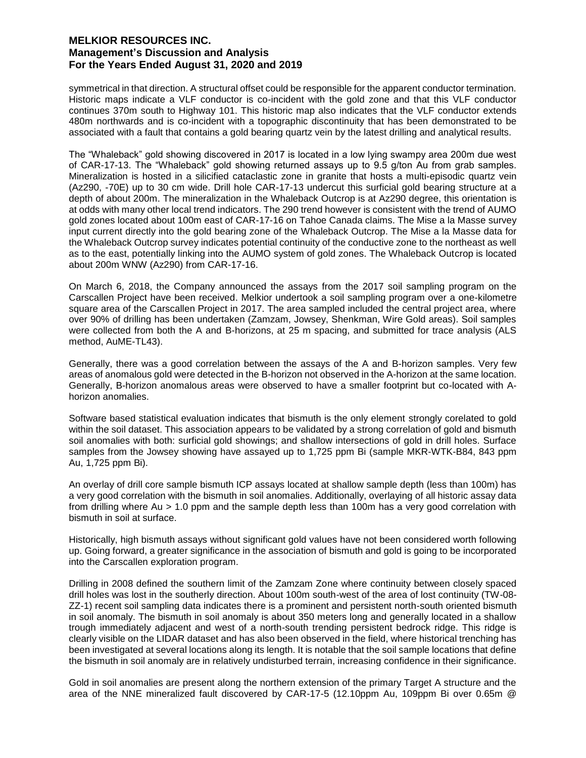symmetrical in that direction. A structural offset could be responsible for the apparent conductor termination. Historic maps indicate a VLF conductor is co-incident with the gold zone and that this VLF conductor continues 370m south to Highway 101. This historic map also indicates that the VLF conductor extends 480m northwards and is co-incident with a topographic discontinuity that has been demonstrated to be associated with a fault that contains a gold bearing quartz vein by the latest drilling and analytical results.

The "Whaleback" gold showing discovered in 2017 is located in a low lying swampy area 200m due west of CAR-17-13. The "Whaleback" gold showing returned assays up to 9.5 g/ton Au from grab samples. Mineralization is hosted in a silicified cataclastic zone in granite that hosts a multi-episodic quartz vein (Az290, -70E) up to 30 cm wide. Drill hole CAR-17-13 undercut this surficial gold bearing structure at a depth of about 200m. The mineralization in the Whaleback Outcrop is at Az290 degree, this orientation is at odds with many other local trend indicators. The 290 trend however is consistent with the trend of AUMO gold zones located about 100m east of CAR-17-16 on Tahoe Canada claims. The Mise a la Masse survey input current directly into the gold bearing zone of the Whaleback Outcrop. The Mise a la Masse data for the Whaleback Outcrop survey indicates potential continuity of the conductive zone to the northeast as well as to the east, potentially linking into the AUMO system of gold zones. The Whaleback Outcrop is located about 200m WNW (Az290) from CAR-17-16.

On March 6, 2018, the Company announced the assays from the 2017 soil sampling program on the Carscallen Project have been received. Melkior undertook a soil sampling program over a one-kilometre square area of the Carscallen Project in 2017. The area sampled included the central project area, where over 90% of drilling has been undertaken (Zamzam, Jowsey, Shenkman, Wire Gold areas). Soil samples were collected from both the A and B-horizons, at 25 m spacing, and submitted for trace analysis (ALS method, AuME-TL43).

Generally, there was a good correlation between the assays of the A and B-horizon samples. Very few areas of anomalous gold were detected in the B-horizon not observed in the A-horizon at the same location. Generally, B-horizon anomalous areas were observed to have a smaller footprint but co-located with Ahorizon anomalies.

Software based statistical evaluation indicates that bismuth is the only element strongly corelated to gold within the soil dataset. This association appears to be validated by a strong correlation of gold and bismuth soil anomalies with both: surficial gold showings; and shallow intersections of gold in drill holes. Surface samples from the Jowsey showing have assayed up to 1,725 ppm Bi (sample MKR-WTK-B84, 843 ppm Au, 1,725 ppm Bi).

An overlay of drill core sample bismuth ICP assays located at shallow sample depth (less than 100m) has a very good correlation with the bismuth in soil anomalies. Additionally, overlaying of all historic assay data from drilling where Au > 1.0 ppm and the sample depth less than 100m has a very good correlation with bismuth in soil at surface.

Historically, high bismuth assays without significant gold values have not been considered worth following up. Going forward, a greater significance in the association of bismuth and gold is going to be incorporated into the Carscallen exploration program.

Drilling in 2008 defined the southern limit of the Zamzam Zone where continuity between closely spaced drill holes was lost in the southerly direction. About 100m south-west of the area of lost continuity (TW-08- ZZ-1) recent soil sampling data indicates there is a prominent and persistent north-south oriented bismuth in soil anomaly. The bismuth in soil anomaly is about 350 meters long and generally located in a shallow trough immediately adjacent and west of a north-south trending persistent bedrock ridge. This ridge is clearly visible on the LIDAR dataset and has also been observed in the field, where historical trenching has been investigated at several locations along its length. It is notable that the soil sample locations that define the bismuth in soil anomaly are in relatively undisturbed terrain, increasing confidence in their significance.

Gold in soil anomalies are present along the northern extension of the primary Target A structure and the area of the NNE mineralized fault discovered by CAR-17-5 (12.10ppm Au, 109ppm Bi over 0.65m @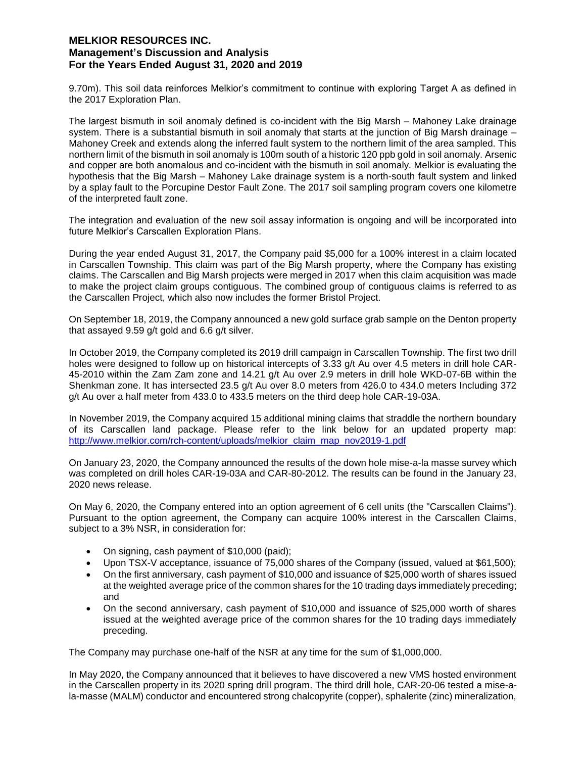9.70m). This soil data reinforces Melkior's commitment to continue with exploring Target A as defined in the 2017 Exploration Plan.

The largest bismuth in soil anomaly defined is co-incident with the Big Marsh – Mahoney Lake drainage system. There is a substantial bismuth in soil anomaly that starts at the junction of Big Marsh drainage – Mahoney Creek and extends along the inferred fault system to the northern limit of the area sampled. This northern limit of the bismuth in soil anomaly is 100m south of a historic 120 ppb gold in soil anomaly. Arsenic and copper are both anomalous and co-incident with the bismuth in soil anomaly. Melkior is evaluating the hypothesis that the Big Marsh – Mahoney Lake drainage system is a north-south fault system and linked by a splay fault to the Porcupine Destor Fault Zone. The 2017 soil sampling program covers one kilometre of the interpreted fault zone.

The integration and evaluation of the new soil assay information is ongoing and will be incorporated into future Melkior's Carscallen Exploration Plans.

During the year ended August 31, 2017, the Company paid \$5,000 for a 100% interest in a claim located in Carscallen Township. This claim was part of the Big Marsh property, where the Company has existing claims. The Carscallen and Big Marsh projects were merged in 2017 when this claim acquisition was made to make the project claim groups contiguous. The combined group of contiguous claims is referred to as the Carscallen Project, which also now includes the former Bristol Project.

On September 18, 2019, the Company announced a new gold surface grab sample on the Denton property that assayed 9.59 g/t gold and 6.6 g/t silver.

In October 2019, the Company completed its 2019 drill campaign in Carscallen Township. The first two drill holes were designed to follow up on historical intercepts of 3.33 g/t Au over 4.5 meters in drill hole CAR-45-2010 within the Zam Zam zone and 14.21 g/t Au over 2.9 meters in drill hole WKD-07-6B within the Shenkman zone. It has intersected 23.5 g/t Au over 8.0 meters from 426.0 to 434.0 meters Including 372 g/t Au over a half meter from 433.0 to 433.5 meters on the third deep hole CAR-19-03A.

In November 2019, the Company acquired 15 additional mining claims that straddle the northern boundary of its Carscallen land package. Please refer to the link below for an updated property map: http://www.melkior.com/rch-content/uploads/melkior\_claim\_map\_nov2019-1.pdf

On January 23, 2020, the Company announced the results of the down hole mise-a-la masse survey which was completed on drill holes CAR-19-03A and CAR-80-2012. The results can be found in the January 23, 2020 news release.

On May 6, 2020, the Company entered into an option agreement of 6 cell units (the "Carscallen Claims"). Pursuant to the option agreement, the Company can acquire 100% interest in the Carscallen Claims, subject to a 3% NSR, in consideration for:

- On signing, cash payment of \$10,000 (paid);
- Upon TSX-V acceptance, issuance of 75,000 shares of the Company (issued, valued at \$61,500);
- On the first anniversary, cash payment of \$10,000 and issuance of \$25,000 worth of shares issued at the weighted average price of the common shares for the 10 trading days immediately preceding; and
- On the second anniversary, cash payment of \$10,000 and issuance of \$25,000 worth of shares issued at the weighted average price of the common shares for the 10 trading days immediately preceding.

The Company may purchase one-half of the NSR at any time for the sum of \$1,000,000.

In May 2020, the Company announced that it believes to have discovered a new VMS hosted environment in the Carscallen property in its 2020 spring drill program. The third drill hole, CAR-20-06 tested a mise-ala-masse (MALM) conductor and encountered strong chalcopyrite (copper), sphalerite (zinc) mineralization,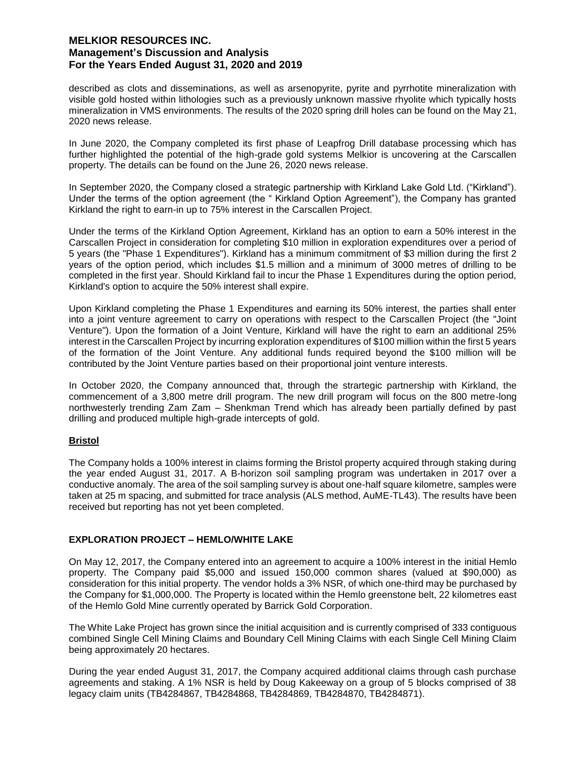described as clots and disseminations, as well as arsenopyrite, pyrite and pyrrhotite mineralization with visible gold hosted within lithologies such as a previously unknown massive rhyolite which typically hosts mineralization in VMS environments. The results of the 2020 spring drill holes can be found on the May 21, 2020 news release.

In June 2020, the Company completed its first phase of Leapfrog Drill database processing which has further highlighted the potential of the high-grade gold systems Melkior is uncovering at the Carscallen property. The details can be found on the June 26, 2020 news release.

In September 2020, the Company closed a strategic partnership with Kirkland Lake Gold Ltd. ("Kirkland"). Under the terms of the option agreement (the " Kirkland Option Agreement"), the Company has granted Kirkland the right to earn-in up to 75% interest in the Carscallen Project.

Under the terms of the Kirkland Option Agreement, Kirkland has an option to earn a 50% interest in the Carscallen Project in consideration for completing \$10 million in exploration expenditures over a period of 5 years (the "Phase 1 Expenditures"). Kirkland has a minimum commitment of \$3 million during the first 2 years of the option period, which includes \$1.5 million and a minimum of 3000 metres of drilling to be completed in the first year. Should Kirkland fail to incur the Phase 1 Expenditures during the option period, Kirkland's option to acquire the 50% interest shall expire.

Upon Kirkland completing the Phase 1 Expenditures and earning its 50% interest, the parties shall enter into a joint venture agreement to carry on operations with respect to the Carscallen Project (the "Joint Venture"). Upon the formation of a Joint Venture, Kirkland will have the right to earn an additional 25% interest in the Carscallen Project by incurring exploration expenditures of \$100 million within the first 5 years of the formation of the Joint Venture. Any additional funds required beyond the \$100 million will be contributed by the Joint Venture parties based on their proportional joint venture interests.

In October 2020, the Company announced that, through the strartegic partnership with Kirkland, the commencement of a 3,800 metre drill program. The new drill program will focus on the 800 metre-long northwesterly trending Zam Zam – Shenkman Trend which has already been partially defined by past drilling and produced multiple high-grade intercepts of gold.

# **Bristol**

The Company holds a 100% interest in claims forming the Bristol property acquired through staking during the year ended August 31, 2017. A B-horizon soil sampling program was undertaken in 2017 over a conductive anomaly. The area of the soil sampling survey is about one-half square kilometre, samples were taken at 25 m spacing, and submitted for trace analysis (ALS method, AuME-TL43). The results have been received but reporting has not yet been completed.

# **EXPLORATION PROJECT – HEMLO/WHITE LAKE**

On May 12, 2017, the Company entered into an agreement to acquire a 100% interest in the initial Hemlo property. The Company paid \$5,000 and issued 150,000 common shares (valued at \$90,000) as consideration for this initial property. The vendor holds a 3% NSR, of which one-third may be purchased by the Company for \$1,000,000. The Property is located within the Hemlo greenstone belt, 22 kilometres east of the Hemlo Gold Mine currently operated by Barrick Gold Corporation.

The White Lake Project has grown since the initial acquisition and is currently comprised of 333 contiguous combined Single Cell Mining Claims and Boundary Cell Mining Claims with each Single Cell Mining Claim being approximately 20 hectares.

During the year ended August 31, 2017, the Company acquired additional claims through cash purchase agreements and staking. A 1% NSR is held by Doug Kakeeway on a group of 5 blocks comprised of 38 legacy claim units (TB4284867, TB4284868, TB4284869, TB4284870, TB4284871).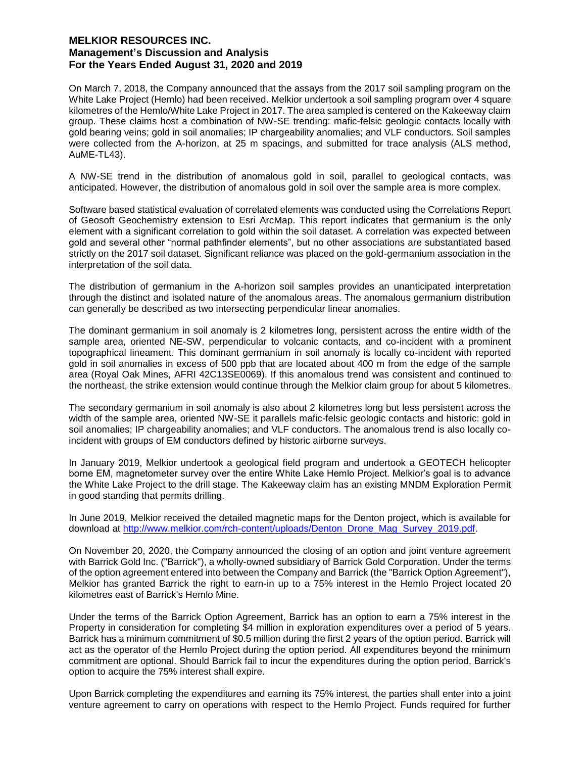On March 7, 2018, the Company announced that the assays from the 2017 soil sampling program on the White Lake Project (Hemlo) had been received. Melkior undertook a soil sampling program over 4 square kilometres of the Hemlo/White Lake Project in 2017. The area sampled is centered on the Kakeeway claim group. These claims host a combination of NW-SE trending: mafic-felsic geologic contacts locally with gold bearing veins; gold in soil anomalies; IP chargeability anomalies; and VLF conductors. Soil samples were collected from the A-horizon, at 25 m spacings, and submitted for trace analysis (ALS method, AuME-TL43).

A NW-SE trend in the distribution of anomalous gold in soil, parallel to geological contacts, was anticipated. However, the distribution of anomalous gold in soil over the sample area is more complex.

Software based statistical evaluation of correlated elements was conducted using the Correlations Report of Geosoft Geochemistry extension to Esri ArcMap. This report indicates that germanium is the only element with a significant correlation to gold within the soil dataset. A correlation was expected between gold and several other "normal pathfinder elements", but no other associations are substantiated based strictly on the 2017 soil dataset. Significant reliance was placed on the gold-germanium association in the interpretation of the soil data.

The distribution of germanium in the A-horizon soil samples provides an unanticipated interpretation through the distinct and isolated nature of the anomalous areas. The anomalous germanium distribution can generally be described as two intersecting perpendicular linear anomalies.

The dominant germanium in soil anomaly is 2 kilometres long, persistent across the entire width of the sample area, oriented NE-SW, perpendicular to volcanic contacts, and co-incident with a prominent topographical lineament. This dominant germanium in soil anomaly is locally co-incident with reported gold in soil anomalies in excess of 500 ppb that are located about 400 m from the edge of the sample area (Royal Oak Mines, AFRI 42C13SE0069). If this anomalous trend was consistent and continued to the northeast, the strike extension would continue through the Melkior claim group for about 5 kilometres.

The secondary germanium in soil anomaly is also about 2 kilometres long but less persistent across the width of the sample area, oriented NW-SE it parallels mafic-felsic geologic contacts and historic: gold in soil anomalies; IP chargeability anomalies; and VLF conductors. The anomalous trend is also locally coincident with groups of EM conductors defined by historic airborne surveys.

In January 2019, Melkior undertook a geological field program and undertook a GEOTECH helicopter borne EM, magnetometer survey over the entire White Lake Hemlo Project. Melkior's goal is to advance the White Lake Project to the drill stage. The Kakeeway claim has an existing MNDM Exploration Permit in good standing that permits drilling.

In June 2019, Melkior received the detailed magnetic maps for the Denton project, which is available for download at http://www.melkior.com/rch-content/uploads/Denton\_Drone\_Mag\_Survey\_2019.pdf.

On November 20, 2020, the Company announced the closing of an option and joint venture agreement with Barrick Gold Inc. ("Barrick"), a wholly-owned subsidiary of Barrick Gold Corporation. Under the terms of the option agreement entered into between the Company and Barrick (the "Barrick Option Agreement"), Melkior has granted Barrick the right to earn-in up to a 75% interest in the Hemlo Project located 20 kilometres east of Barrick's Hemlo Mine.

Under the terms of the Barrick Option Agreement, Barrick has an option to earn a 75% interest in the Property in consideration for completing \$4 million in exploration expenditures over a period of 5 years. Barrick has a minimum commitment of \$0.5 million during the first 2 years of the option period. Barrick will act as the operator of the Hemlo Project during the option period. All expenditures beyond the minimum commitment are optional. Should Barrick fail to incur the expenditures during the option period, Barrick's option to acquire the 75% interest shall expire.

Upon Barrick completing the expenditures and earning its 75% interest, the parties shall enter into a joint venture agreement to carry on operations with respect to the Hemlo Project. Funds required for further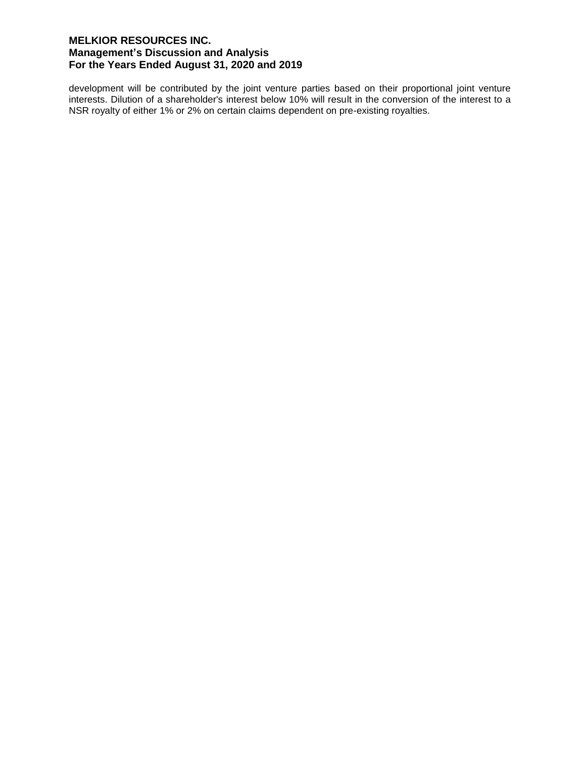development will be contributed by the joint venture parties based on their proportional joint venture interests. Dilution of a shareholder's interest below 10% will result in the conversion of the interest to a NSR royalty of either 1% or 2% on certain claims dependent on pre-existing royalties.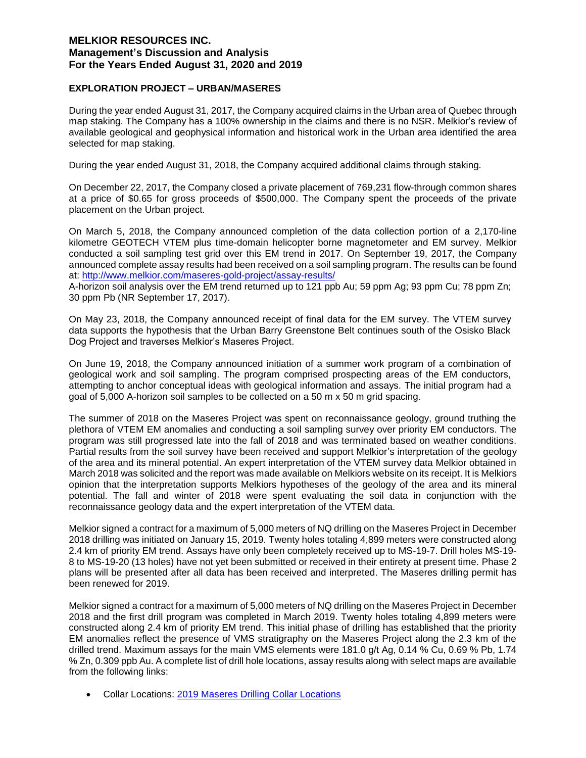## **EXPLORATION PROJECT – URBAN/MASERES**

During the year ended August 31, 2017, the Company acquired claims in the Urban area of Quebec through map staking. The Company has a 100% ownership in the claims and there is no NSR. Melkior's review of available geological and geophysical information and historical work in the Urban area identified the area selected for map staking.

During the year ended August 31, 2018, the Company acquired additional claims through staking.

On December 22, 2017, the Company closed a private placement of 769,231 flow-through common shares at a price of \$0.65 for gross proceeds of \$500,000. The Company spent the proceeds of the private placement on the Urban project.

On March 5, 2018, the Company announced completion of the data collection portion of a 2,170-line kilometre GEOTECH VTEM plus time-domain helicopter borne magnetometer and EM survey. Melkior conducted a soil sampling test grid over this EM trend in 2017. On September 19, 2017, the Company announced complete assay results had been received on a soil sampling program. The results can be found at: http://www.melkior.com/maseres-gold-project/assay-results/

A-horizon soil analysis over the EM trend returned up to 121 ppb Au; 59 ppm Ag; 93 ppm Cu; 78 ppm Zn; 30 ppm Pb (NR September 17, 2017).

On May 23, 2018, the Company announced receipt of final data for the EM survey. The VTEM survey data supports the hypothesis that the Urban Barry Greenstone Belt continues south of the Osisko Black Dog Project and traverses Melkior's Maseres Project.

On June 19, 2018, the Company announced initiation of a summer work program of a combination of geological work and soil sampling. The program comprised prospecting areas of the EM conductors, attempting to anchor conceptual ideas with geological information and assays. The initial program had a goal of 5,000 A-horizon soil samples to be collected on a 50 m x 50 m grid spacing.

The summer of 2018 on the Maseres Project was spent on reconnaissance geology, ground truthing the plethora of VTEM EM anomalies and conducting a soil sampling survey over priority EM conductors. The program was still progressed late into the fall of 2018 and was terminated based on weather conditions. Partial results from the soil survey have been received and support Melkior's interpretation of the geology of the area and its mineral potential. An expert interpretation of the VTEM survey data Melkior obtained in March 2018 was solicited and the report was made available on Melkiors website on its receipt. It is Melkiors opinion that the interpretation supports Melkiors hypotheses of the geology of the area and its mineral potential. The fall and winter of 2018 were spent evaluating the soil data in conjunction with the reconnaissance geology data and the expert interpretation of the VTEM data.

Melkior signed a contract for a maximum of 5,000 meters of NQ drilling on the Maseres Project in December 2018 drilling was initiated on January 15, 2019. Twenty holes totaling 4,899 meters were constructed along 2.4 km of priority EM trend. Assays have only been completely received up to MS-19-7. Drill holes MS-19- 8 to MS-19-20 (13 holes) have not yet been submitted or received in their entirety at present time. Phase 2 plans will be presented after all data has been received and interpreted. The Maseres drilling permit has been renewed for 2019.

Melkior signed a contract for a maximum of 5,000 meters of NQ drilling on the Maseres Project in December 2018 and the first drill program was completed in March 2019. Twenty holes totaling 4,899 meters were constructed along 2.4 km of priority EM trend. This initial phase of drilling has established that the priority EM anomalies reflect the presence of VMS stratigraphy on the Maseres Project along the 2.3 km of the drilled trend. Maximum assays for the main VMS elements were 181.0 g/t Ag, 0.14 % Cu, 0.69 % Pb, 1.74 % Zn, 0.309 ppb Au. A complete list of drill hole locations, assay results along with select maps are available from the following links:

Collar Locations: 2019 Maseres Drilling Collar Locations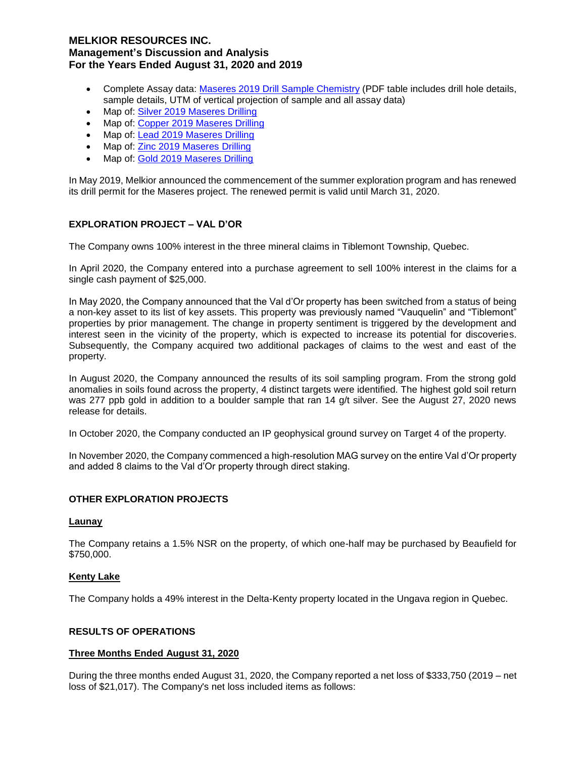- Complete Assay data: Maseres 2019 Drill Sample Chemistry (PDF table includes drill hole details, sample details, UTM of vertical projection of sample and all assay data)
- Map of: Silver 2019 Maseres Drilling
- Map of: Copper 2019 Maseres Drilling
- Map of: Lead 2019 Maseres Drilling
- Map of: Zinc 2019 Maseres Drilling
- Map of: Gold 2019 Maseres Drilling

In May 2019, Melkior announced the commencement of the summer exploration program and has renewed its drill permit for the Maseres project. The renewed permit is valid until March 31, 2020.

## **EXPLORATION PROJECT – VAL D'OR**

The Company owns 100% interest in the three mineral claims in Tiblemont Township, Quebec.

In April 2020, the Company entered into a purchase agreement to sell 100% interest in the claims for a single cash payment of \$25,000.

In May 2020, the Company announced that the Val d'Or property has been switched from a status of being a non-key asset to its list of key assets. This property was previously named "Vauquelin" and "Tiblemont" properties by prior management. The change in property sentiment is triggered by the development and interest seen in the vicinity of the property, which is expected to increase its potential for discoveries. Subsequently, the Company acquired two additional packages of claims to the west and east of the property.

In August 2020, the Company announced the results of its soil sampling program. From the strong gold anomalies in soils found across the property, 4 distinct targets were identified. The highest gold soil return was 277 ppb gold in addition to a boulder sample that ran 14 g/t silver. See the August 27, 2020 news release for details.

In October 2020, the Company conducted an IP geophysical ground survey on Target 4 of the property.

In November 2020, the Company commenced a high-resolution MAG survey on the entire Val d'Or property and added 8 claims to the Val d'Or property through direct staking.

### **OTHER EXPLORATION PROJECTS**

#### **Launay**

The Company retains a 1.5% NSR on the property, of which one-half may be purchased by Beaufield for \$750,000.

### **Kenty Lake**

The Company holds a 49% interest in the Delta-Kenty property located in the Ungava region in Quebec.

## **RESULTS OF OPERATIONS**

### **Three Months Ended August 31, 2020**

During the three months ended August 31, 2020, the Company reported a net loss of \$333,750 (2019 – net loss of \$21,017). The Company's net loss included items as follows: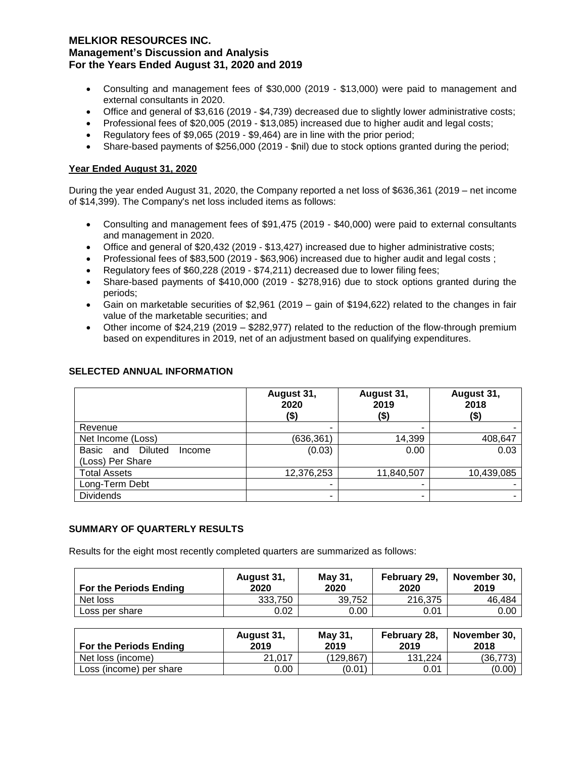- Consulting and management fees of \$30,000 (2019 \$13,000) were paid to management and external consultants in 2020.
- Office and general of \$3,616 (2019 \$4,739) decreased due to slightly lower administrative costs;
- Professional fees of \$20,005 (2019 \$13,085) increased due to higher audit and legal costs;
- Regulatory fees of \$9,065 (2019 \$9,464) are in line with the prior period;
- Share-based payments of \$256,000 (2019 \$nil) due to stock options granted during the period;

# **Year Ended August 31, 2020**

During the year ended August 31, 2020, the Company reported a net loss of \$636,361 (2019 – net income of \$14,399). The Company's net loss included items as follows:

- Consulting and management fees of \$91,475 (2019 \$40,000) were paid to external consultants and management in 2020.
- Office and general of \$20,432 (2019 \$13,427) increased due to higher administrative costs;
- Professional fees of \$83,500 (2019 \$63,906) increased due to higher audit and legal costs ;
- Regulatory fees of \$60,228 (2019 \$74,211) decreased due to lower filing fees;
- Share-based payments of \$410,000 (2019 \$278,916) due to stock options granted during the periods;
- Gain on marketable securities of \$2,961 (2019 gain of \$194,622) related to the changes in fair value of the marketable securities; and
- Other income of \$24,219 (2019 \$282,977) related to the reduction of the flow-through premium based on expenditures in 2019, net of an adjustment based on qualifying expenditures.

|                                                    | August 31,<br>2020<br>(\$) | August 31,<br>2019<br>(\$) | August 31,<br>2018<br>(\$) |
|----------------------------------------------------|----------------------------|----------------------------|----------------------------|
| Revenue                                            |                            | ۰                          |                            |
| Net Income (Loss)                                  | (636, 361)                 | 14,399                     | 408,647                    |
| Diluted<br>Basic and<br>Income<br>(Loss) Per Share | (0.03)                     | 0.00                       | 0.03                       |
| <b>Total Assets</b>                                | 12,376,253                 | 11,840,507                 | 10,439,085                 |
| Long-Term Debt                                     |                            | -                          |                            |
| <b>Dividends</b>                                   |                            | ۰                          |                            |

### **SELECTED ANNUAL INFORMATION**

### **SUMMARY OF QUARTERLY RESULTS**

Results for the eight most recently completed quarters are summarized as follows:

| <b>For the Periods Ending</b> | August 31,<br>2020 | May 31,<br>2020 | February 29,<br>2020 | November 30.<br>2019 |
|-------------------------------|--------------------|-----------------|----------------------|----------------------|
| Net loss                      | 333.750            | 39.752          | 216.375              | 46.484               |
| Loss per share                | 0.02               | 0.00            | 0.01                 | 0.00                 |

| <b>For the Periods Ending</b> | August 31,<br>2019 | May 31,<br>2019 | February 28,<br>2019 | November 30.<br>2018 |
|-------------------------------|--------------------|-----------------|----------------------|----------------------|
| Net loss (income)             | 21.017             | (129.867)       | 131.224              | (36, 773)            |
| Loss (income) per share       | 0.00               | (0.01           | 0.01                 | (0.00)               |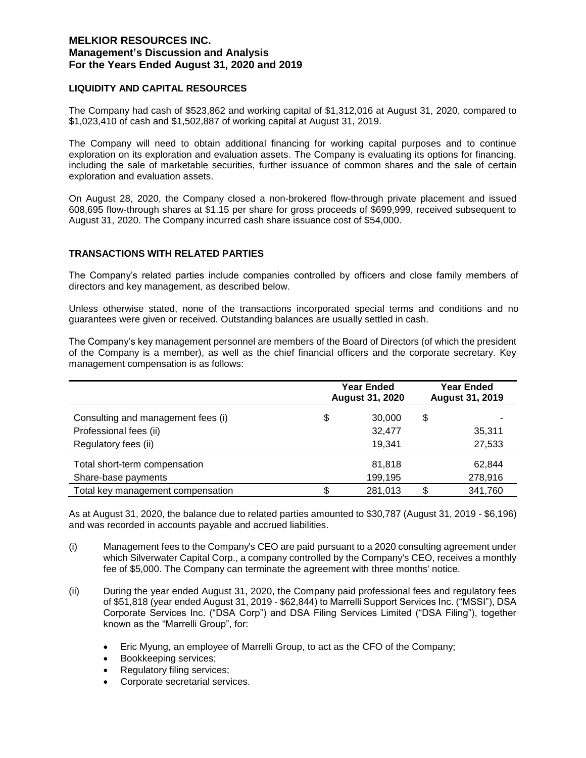### **LIQUIDITY AND CAPITAL RESOURCES**

The Company had cash of \$523,862 and working capital of \$1,312,016 at August 31, 2020, compared to \$1,023,410 of cash and \$1,502,887 of working capital at August 31, 2019.

The Company will need to obtain additional financing for working capital purposes and to continue exploration on its exploration and evaluation assets. The Company is evaluating its options for financing, including the sale of marketable securities, further issuance of common shares and the sale of certain exploration and evaluation assets.

On August 28, 2020, the Company closed a non-brokered flow-through private placement and issued 608,695 flow-through shares at \$1.15 per share for gross proceeds of \$699,999, received subsequent to August 31, 2020. The Company incurred cash share issuance cost of \$54,000.

## **TRANSACTIONS WITH RELATED PARTIES**

The Company's related parties include companies controlled by officers and close family members of directors and key management, as described below.

Unless otherwise stated, none of the transactions incorporated special terms and conditions and no guarantees were given or received. Outstanding balances are usually settled in cash.

The Company's key management personnel are members of the Board of Directors (of which the president of the Company is a member), as well as the chief financial officers and the corporate secretary. Key management compensation is as follows:

|                                    | <b>Year Ended</b><br><b>August 31, 2020</b> | Year Ended<br><b>August 31, 2019</b> |         |
|------------------------------------|---------------------------------------------|--------------------------------------|---------|
| Consulting and management fees (i) | \$<br>30,000                                | \$                                   |         |
| Professional fees (ii)             | 32,477                                      |                                      | 35,311  |
| Regulatory fees (ii)               | 19,341                                      |                                      | 27,533  |
| Total short-term compensation      | 81,818                                      |                                      | 62.844  |
| Share-base payments                | 199,195                                     |                                      | 278,916 |
| Total key management compensation  | 281,013                                     | \$.                                  | 341,760 |

As at August 31, 2020, the balance due to related parties amounted to \$30,787 (August 31, 2019 - \$6,196) and was recorded in accounts payable and accrued liabilities.

- (i) Management fees to the Company's CEO are paid pursuant to a 2020 consulting agreement under which Silverwater Capital Corp., a company controlled by the Company's CEO, receives a monthly fee of \$5,000. The Company can terminate the agreement with three months' notice.
- (ii) During the year ended August 31, 2020, the Company paid professional fees and regulatory fees of \$51,818 (year ended August 31, 2019 - \$62,844) to Marrelli Support Services Inc. ("MSSI"), DSA Corporate Services Inc. ("DSA Corp") and DSA Filing Services Limited ("DSA Filing"), together known as the "Marrelli Group", for:
	- Eric Myung, an employee of Marrelli Group, to act as the CFO of the Company;
	- Bookkeeping services;
	- Regulatory filing services;
	- Corporate secretarial services.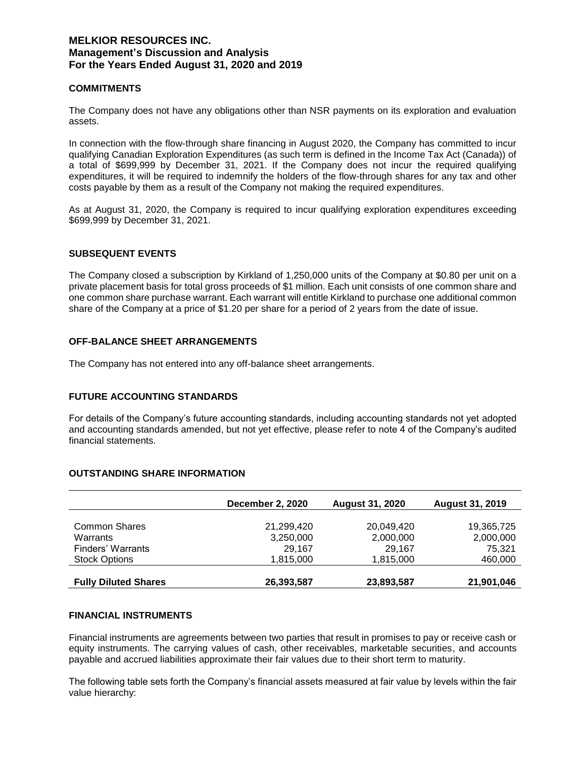### **COMMITMENTS**

The Company does not have any obligations other than NSR payments on its exploration and evaluation assets.

In connection with the flow-through share financing in August 2020, the Company has committed to incur qualifying Canadian Exploration Expenditures (as such term is defined in the Income Tax Act (Canada)) of a total of \$699,999 by December 31, 2021. If the Company does not incur the required qualifying expenditures, it will be required to indemnify the holders of the flow-through shares for any tax and other costs payable by them as a result of the Company not making the required expenditures.

As at August 31, 2020, the Company is required to incur qualifying exploration expenditures exceeding \$699,999 by December 31, 2021.

## **SUBSEQUENT EVENTS**

The Company closed a subscription by Kirkland of 1,250,000 units of the Company at \$0.80 per unit on a private placement basis for total gross proceeds of \$1 million. Each unit consists of one common share and one common share purchase warrant. Each warrant will entitle Kirkland to purchase one additional common share of the Company at a price of \$1.20 per share for a period of 2 years from the date of issue.

### **OFF-BALANCE SHEET ARRANGEMENTS**

The Company has not entered into any off-balance sheet arrangements.

### **FUTURE ACCOUNTING STANDARDS**

For details of the Company's future accounting standards, including accounting standards not yet adopted and accounting standards amended, but not yet effective, please refer to note 4 of the Company's audited financial statements.

## **OUTSTANDING SHARE INFORMATION**

|                             | <b>December 2, 2020</b> | <b>August 31, 2020</b> | <b>August 31, 2019</b> |
|-----------------------------|-------------------------|------------------------|------------------------|
|                             |                         |                        |                        |
| <b>Common Shares</b>        | 21,299,420              | 20,049,420             | 19,365,725             |
| Warrants                    | 3,250,000               | 2,000,000              | 2,000,000              |
| Finders' Warrants           | 29.167                  | 29,167                 | 75.321                 |
| <b>Stock Options</b>        | 1,815,000               | 1,815,000              | 460,000                |
|                             |                         |                        |                        |
| <b>Fully Diluted Shares</b> | 26,393,587              | 23,893,587             | 21,901,046             |

# **FINANCIAL INSTRUMENTS**

Financial instruments are agreements between two parties that result in promises to pay or receive cash or equity instruments. The carrying values of cash, other receivables, marketable securities, and accounts payable and accrued liabilities approximate their fair values due to their short term to maturity.

The following table sets forth the Company's financial assets measured at fair value by levels within the fair value hierarchy: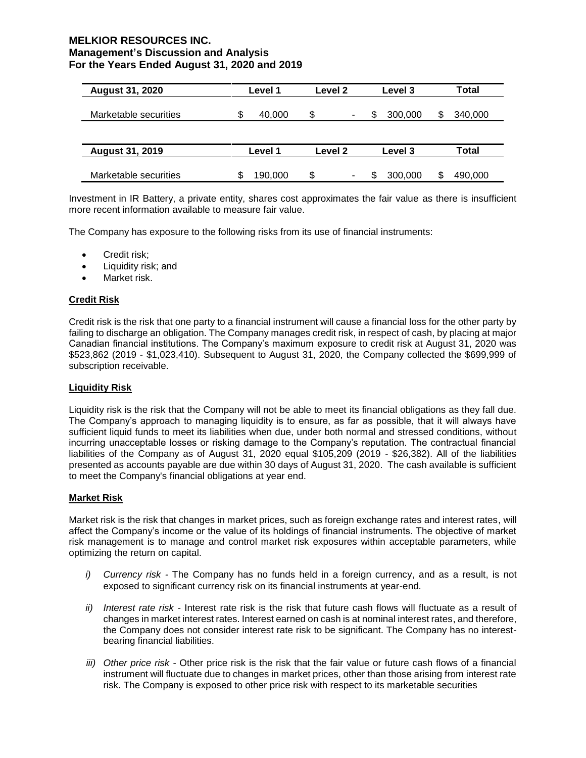| <b>August 31, 2020</b> | Level 1      | Level 2 | Level 3 | Total   |  |
|------------------------|--------------|---------|---------|---------|--|
| Marketable securities  | \$<br>40.000 | \$<br>۰ | 300,000 | 340,000 |  |
|                        |              |         |         |         |  |
| <b>August 31, 2019</b> | Level 1      | Level 2 | Level 3 | Total   |  |
| Marketable securities  | S<br>190,000 | \$<br>۰ | 300,000 | 490,000 |  |

Investment in IR Battery, a private entity, shares cost approximates the fair value as there is insufficient more recent information available to measure fair value.

The Company has exposure to the following risks from its use of financial instruments:

- Credit risk:
- Liquidity risk; and
- Market risk.

## **Credit Risk**

Credit risk is the risk that one party to a financial instrument will cause a financial loss for the other party by failing to discharge an obligation. The Company manages credit risk, in respect of cash, by placing at major Canadian financial institutions. The Company's maximum exposure to credit risk at August 31, 2020 was \$523,862 (2019 - \$1,023,410). Subsequent to August 31, 2020, the Company collected the \$699,999 of subscription receivable.

### **Liquidity Risk**

Liquidity risk is the risk that the Company will not be able to meet its financial obligations as they fall due. The Company's approach to managing liquidity is to ensure, as far as possible, that it will always have sufficient liquid funds to meet its liabilities when due, under both normal and stressed conditions, without incurring unacceptable losses or risking damage to the Company's reputation. The contractual financial liabilities of the Company as of August 31, 2020 equal \$105,209 (2019 - \$26,382). All of the liabilities presented as accounts payable are due within 30 days of August 31, 2020. The cash available is sufficient to meet the Company's financial obligations at year end.

### **Market Risk**

Market risk is the risk that changes in market prices, such as foreign exchange rates and interest rates, will affect the Company's income or the value of its holdings of financial instruments. The objective of market risk management is to manage and control market risk exposures within acceptable parameters, while optimizing the return on capital.

- *i) Currency risk -* The Company has no funds held in a foreign currency, and as a result, is not exposed to significant currency risk on its financial instruments at year-end.
- *ii) Interest rate risk -* Interest rate risk is the risk that future cash flows will fluctuate as a result of changes in market interest rates. Interest earned on cash is at nominal interest rates, and therefore, the Company does not consider interest rate risk to be significant. The Company has no interestbearing financial liabilities.
- *iii) Other price risk -* Other price risk is the risk that the fair value or future cash flows of a financial instrument will fluctuate due to changes in market prices, other than those arising from interest rate risk. The Company is exposed to other price risk with respect to its marketable securities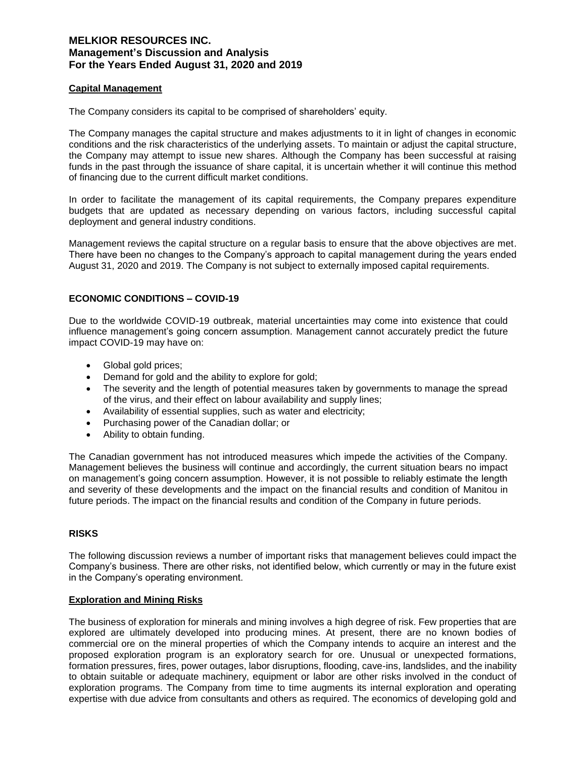### **Capital Management**

The Company considers its capital to be comprised of shareholders' equity.

The Company manages the capital structure and makes adjustments to it in light of changes in economic conditions and the risk characteristics of the underlying assets. To maintain or adjust the capital structure, the Company may attempt to issue new shares. Although the Company has been successful at raising funds in the past through the issuance of share capital, it is uncertain whether it will continue this method of financing due to the current difficult market conditions.

In order to facilitate the management of its capital requirements, the Company prepares expenditure budgets that are updated as necessary depending on various factors, including successful capital deployment and general industry conditions.

Management reviews the capital structure on a regular basis to ensure that the above objectives are met. There have been no changes to the Company's approach to capital management during the years ended August 31, 2020 and 2019. The Company is not subject to externally imposed capital requirements.

### **ECONOMIC CONDITIONS – COVID-19**

Due to the worldwide COVID-19 outbreak, material uncertainties may come into existence that could influence management's going concern assumption. Management cannot accurately predict the future impact COVID-19 may have on:

- Global gold prices;
- Demand for gold and the ability to explore for gold;
- The severity and the length of potential measures taken by governments to manage the spread of the virus, and their effect on labour availability and supply lines;
- Availability of essential supplies, such as water and electricity;
- Purchasing power of the Canadian dollar; or
- Ability to obtain funding.

The Canadian government has not introduced measures which impede the activities of the Company. Management believes the business will continue and accordingly, the current situation bears no impact on management's going concern assumption. However, it is not possible to reliably estimate the length and severity of these developments and the impact on the financial results and condition of Manitou in future periods. The impact on the financial results and condition of the Company in future periods.

### **RISKS**

The following discussion reviews a number of important risks that management believes could impact the Company's business. There are other risks, not identified below, which currently or may in the future exist in the Company's operating environment.

## **Exploration and Mining Risks**

The business of exploration for minerals and mining involves a high degree of risk. Few properties that are explored are ultimately developed into producing mines. At present, there are no known bodies of commercial ore on the mineral properties of which the Company intends to acquire an interest and the proposed exploration program is an exploratory search for ore. Unusual or unexpected formations, formation pressures, fires, power outages, labor disruptions, flooding, cave-ins, landslides, and the inability to obtain suitable or adequate machinery, equipment or labor are other risks involved in the conduct of exploration programs. The Company from time to time augments its internal exploration and operating expertise with due advice from consultants and others as required. The economics of developing gold and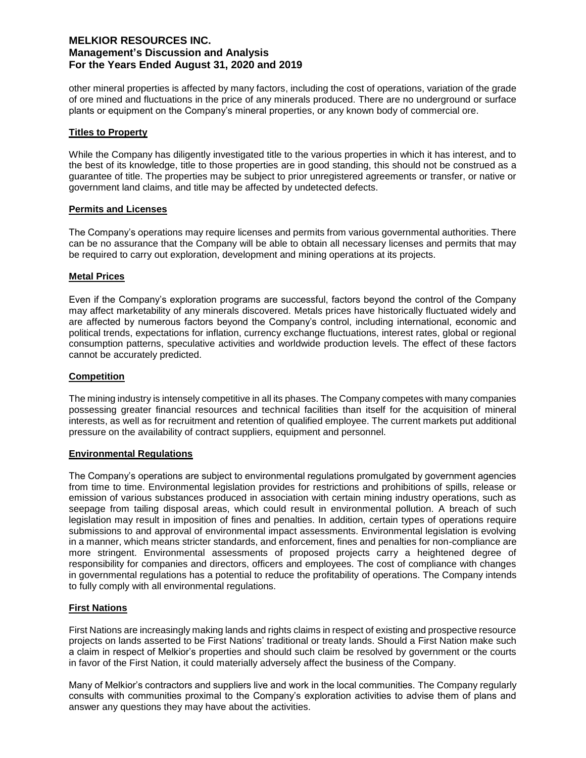other mineral properties is affected by many factors, including the cost of operations, variation of the grade of ore mined and fluctuations in the price of any minerals produced. There are no underground or surface plants or equipment on the Company's mineral properties, or any known body of commercial ore.

### **Titles to Property**

While the Company has diligently investigated title to the various properties in which it has interest, and to the best of its knowledge, title to those properties are in good standing, this should not be construed as a guarantee of title. The properties may be subject to prior unregistered agreements or transfer, or native or government land claims, and title may be affected by undetected defects.

### **Permits and Licenses**

The Company's operations may require licenses and permits from various governmental authorities. There can be no assurance that the Company will be able to obtain all necessary licenses and permits that may be required to carry out exploration, development and mining operations at its projects.

### **Metal Prices**

Even if the Company's exploration programs are successful, factors beyond the control of the Company may affect marketability of any minerals discovered. Metals prices have historically fluctuated widely and are affected by numerous factors beyond the Company's control, including international, economic and political trends, expectations for inflation, currency exchange fluctuations, interest rates, global or regional consumption patterns, speculative activities and worldwide production levels. The effect of these factors cannot be accurately predicted.

## **Competition**

The mining industry is intensely competitive in all its phases. The Company competes with many companies possessing greater financial resources and technical facilities than itself for the acquisition of mineral interests, as well as for recruitment and retention of qualified employee. The current markets put additional pressure on the availability of contract suppliers, equipment and personnel.

### **Environmental Regulations**

The Company's operations are subject to environmental regulations promulgated by government agencies from time to time. Environmental legislation provides for restrictions and prohibitions of spills, release or emission of various substances produced in association with certain mining industry operations, such as seepage from tailing disposal areas, which could result in environmental pollution. A breach of such legislation may result in imposition of fines and penalties. In addition, certain types of operations require submissions to and approval of environmental impact assessments. Environmental legislation is evolving in a manner, which means stricter standards, and enforcement, fines and penalties for non-compliance are more stringent. Environmental assessments of proposed projects carry a heightened degree of responsibility for companies and directors, officers and employees. The cost of compliance with changes in governmental regulations has a potential to reduce the profitability of operations. The Company intends to fully comply with all environmental regulations.

### **First Nations**

First Nations are increasingly making lands and rights claims in respect of existing and prospective resource projects on lands asserted to be First Nations' traditional or treaty lands. Should a First Nation make such a claim in respect of Melkior's properties and should such claim be resolved by government or the courts in favor of the First Nation, it could materially adversely affect the business of the Company.

Many of Melkior's contractors and suppliers live and work in the local communities. The Company regularly consults with communities proximal to the Company's exploration activities to advise them of plans and answer any questions they may have about the activities.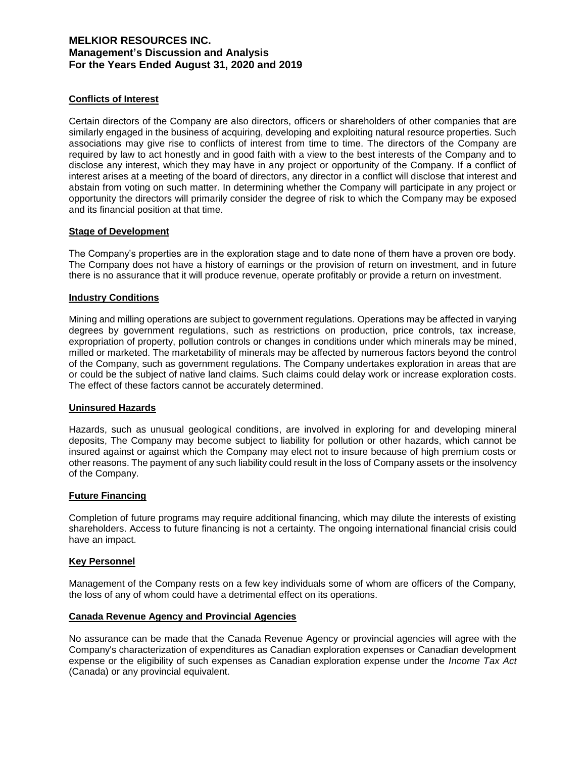## **Conflicts of Interest**

Certain directors of the Company are also directors, officers or shareholders of other companies that are similarly engaged in the business of acquiring, developing and exploiting natural resource properties. Such associations may give rise to conflicts of interest from time to time. The directors of the Company are required by law to act honestly and in good faith with a view to the best interests of the Company and to disclose any interest, which they may have in any project or opportunity of the Company. If a conflict of interest arises at a meeting of the board of directors, any director in a conflict will disclose that interest and abstain from voting on such matter. In determining whether the Company will participate in any project or opportunity the directors will primarily consider the degree of risk to which the Company may be exposed and its financial position at that time.

### **Stage of Development**

The Company's properties are in the exploration stage and to date none of them have a proven ore body. The Company does not have a history of earnings or the provision of return on investment, and in future there is no assurance that it will produce revenue, operate profitably or provide a return on investment.

## **Industry Conditions**

Mining and milling operations are subject to government regulations. Operations may be affected in varying degrees by government regulations, such as restrictions on production, price controls, tax increase, expropriation of property, pollution controls or changes in conditions under which minerals may be mined, milled or marketed. The marketability of minerals may be affected by numerous factors beyond the control of the Company, such as government regulations. The Company undertakes exploration in areas that are or could be the subject of native land claims. Such claims could delay work or increase exploration costs. The effect of these factors cannot be accurately determined.

### **Uninsured Hazards**

Hazards, such as unusual geological conditions, are involved in exploring for and developing mineral deposits, The Company may become subject to liability for pollution or other hazards, which cannot be insured against or against which the Company may elect not to insure because of high premium costs or other reasons. The payment of any such liability could result in the loss of Company assets or the insolvency of the Company.

### **Future Financing**

Completion of future programs may require additional financing, which may dilute the interests of existing shareholders. Access to future financing is not a certainty. The ongoing international financial crisis could have an impact.

### **Key Personnel**

Management of the Company rests on a few key individuals some of whom are officers of the Company, the loss of any of whom could have a detrimental effect on its operations.

### **Canada Revenue Agency and Provincial Agencies**

No assurance can be made that the Canada Revenue Agency or provincial agencies will agree with the Company's characterization of expenditures as Canadian exploration expenses or Canadian development expense or the eligibility of such expenses as Canadian exploration expense under the *Income Tax Act* (Canada) or any provincial equivalent.